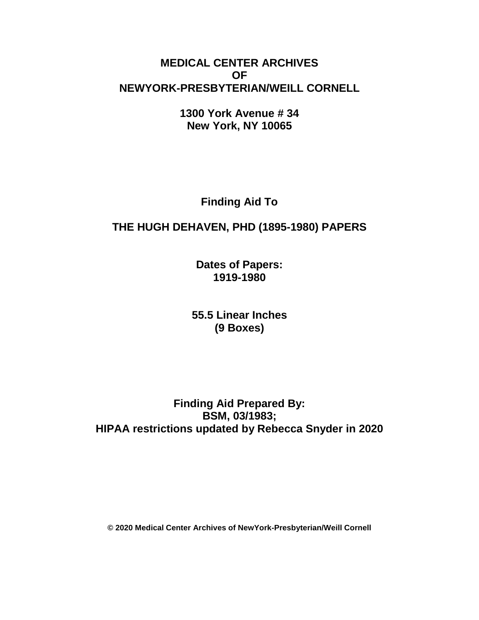# **MEDICAL CENTER ARCHIVES OF NEWYORK-PRESBYTERIAN/WEILL CORNELL**

**1300 York Avenue # 34 New York, NY 10065**

**Finding Aid To**

# **THE HUGH DEHAVEN, PHD (1895-1980) PAPERS**

**Dates of Papers: 1919-1980**

**55.5 Linear Inches (9 Boxes)**

**Finding Aid Prepared By: BSM, 03/1983; HIPAA restrictions updated by Rebecca Snyder in 2020**

**© 2020 Medical Center Archives of NewYork-Presbyterian/Weill Cornell**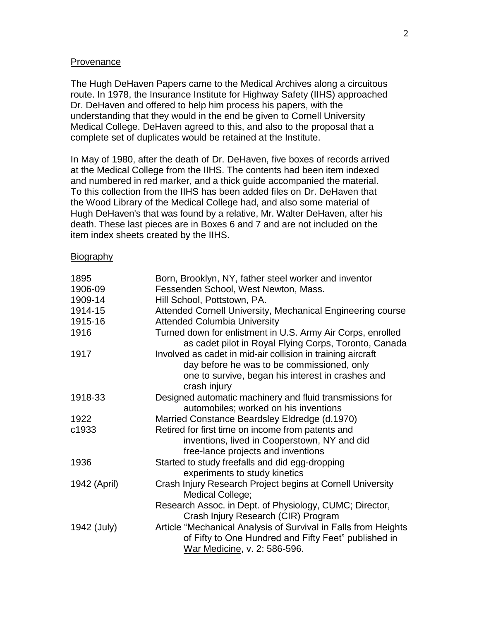#### **Provenance**

The Hugh DeHaven Papers came to the Medical Archives along a circuitous route. In 1978, the Insurance Institute for Highway Safety (IIHS) approached Dr. DeHaven and offered to help him process his papers, with the understanding that they would in the end be given to Cornell University Medical College. DeHaven agreed to this, and also to the proposal that a complete set of duplicates would be retained at the Institute.

In May of 1980, after the death of Dr. DeHaven, five boxes of records arrived at the Medical College from the IIHS. The contents had been item indexed and numbered in red marker, and a thick guide accompanied the material. To this collection from the IIHS has been added files on Dr. DeHaven that the Wood Library of the Medical College had, and also some material of Hugh DeHaven's that was found by a relative, Mr. Walter DeHaven, after his death. These last pieces are in Boxes 6 and 7 and are not included on the item index sheets created by the IIHS.

#### **Biography**

| 1895         | Born, Brooklyn, NY, father steel worker and inventor                                                                                                   |
|--------------|--------------------------------------------------------------------------------------------------------------------------------------------------------|
| 1906-09      | Fessenden School, West Newton, Mass.                                                                                                                   |
| 1909-14      | Hill School, Pottstown, PA.                                                                                                                            |
| 1914-15      | Attended Cornell University, Mechanical Engineering course                                                                                             |
| 1915-16      | <b>Attended Columbia University</b>                                                                                                                    |
| 1916         | Turned down for enlistment in U.S. Army Air Corps, enrolled<br>as cadet pilot in Royal Flying Corps, Toronto, Canada                                   |
| 1917         | Involved as cadet in mid-air collision in training aircraft                                                                                            |
|              | day before he was to be commissioned, only                                                                                                             |
|              | one to survive, began his interest in crashes and<br>crash injury                                                                                      |
| 1918-33      | Designed automatic machinery and fluid transmissions for<br>automobiles; worked on his inventions                                                      |
| 1922         | Married Constance Beardsley Eldredge (d.1970)                                                                                                          |
| c1933        | Retired for first time on income from patents and                                                                                                      |
|              | inventions, lived in Cooperstown, NY and did                                                                                                           |
|              | free-lance projects and inventions                                                                                                                     |
| 1936         | Started to study freefalls and did egg-dropping                                                                                                        |
|              | experiments to study kinetics                                                                                                                          |
| 1942 (April) | Crash Injury Research Project begins at Cornell University<br>Medical College;                                                                         |
|              | Research Assoc. in Dept. of Physiology, CUMC; Director,<br>Crash Injury Research (CIR) Program                                                         |
| 1942 (July)  | Article "Mechanical Analysis of Survival in Falls from Heights<br>of Fifty to One Hundred and Fifty Feet" published in<br>War Medicine, v. 2: 586-596. |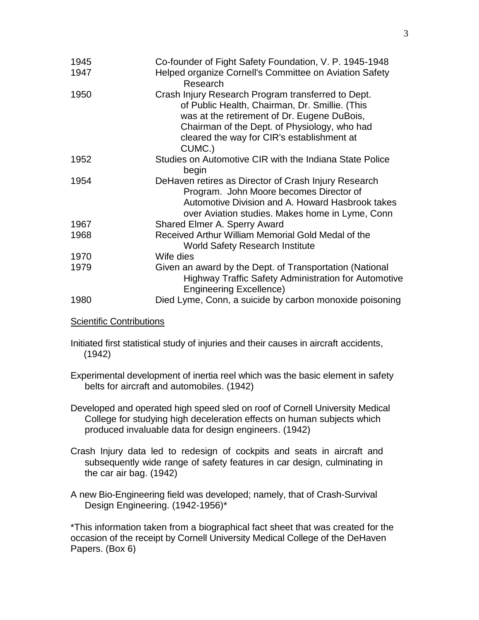| 1945 | Co-founder of Fight Safety Foundation, V. P. 1945-1948                                                                                                                                                                                                      |
|------|-------------------------------------------------------------------------------------------------------------------------------------------------------------------------------------------------------------------------------------------------------------|
| 1947 | Helped organize Cornell's Committee on Aviation Safety<br>Research                                                                                                                                                                                          |
| 1950 | Crash Injury Research Program transferred to Dept.<br>of Public Health, Chairman, Dr. Smillie. (This<br>was at the retirement of Dr. Eugene DuBois,<br>Chairman of the Dept. of Physiology, who had<br>cleared the way for CIR's establishment at<br>CUMC.) |
| 1952 | Studies on Automotive CIR with the Indiana State Police<br>begin                                                                                                                                                                                            |
| 1954 | DeHaven retires as Director of Crash Injury Research<br>Program. John Moore becomes Director of<br>Automotive Division and A. Howard Hasbrook takes<br>over Aviation studies. Makes home in Lyme, Conn                                                      |
| 1967 | <b>Shared Elmer A. Sperry Award</b>                                                                                                                                                                                                                         |
| 1968 | Received Arthur William Memorial Gold Medal of the<br><b>World Safety Research Institute</b>                                                                                                                                                                |
| 1970 | Wife dies                                                                                                                                                                                                                                                   |
| 1979 | Given an award by the Dept. of Transportation (National<br><b>Highway Traffic Safety Administration for Automotive</b><br><b>Engineering Excellence)</b>                                                                                                    |
| 1980 | Died Lyme, Conn, a suicide by carbon monoxide poisoning                                                                                                                                                                                                     |
|      |                                                                                                                                                                                                                                                             |

**Scientific Contributions** 

Initiated first statistical study of injuries and their causes in aircraft accidents, (1942)

- Experimental development of inertia reel which was the basic element in safety belts for aircraft and automobiles. (1942)
- Developed and operated high speed sled on roof of Cornell University Medical College for studying high deceleration effects on human subjects which produced invaluable data for design engineers. (1942)
- Crash Injury data led to redesign of cockpits and seats in aircraft and subsequently wide range of safety features in car design, culminating in the car air bag. (1942)
- A new Bio-Engineering field was developed; namely, that of Crash-Survival Design Engineering. (1942-1956)\*

\*This information taken from a biographical fact sheet that was created for the occasion of the receipt by Cornell University Medical College of the DeHaven Papers. (Box 6)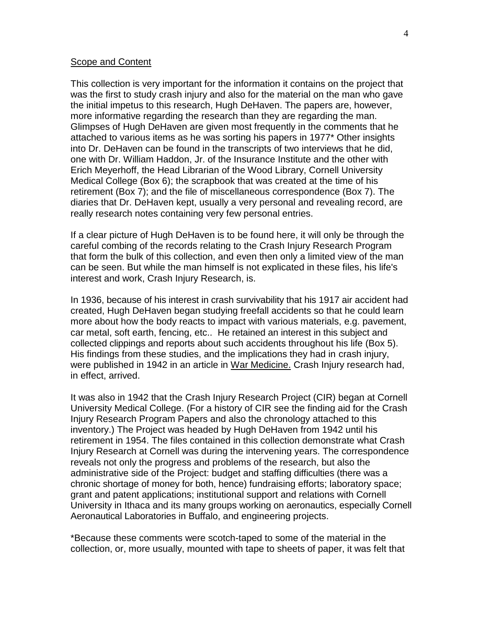#### Scope and Content

This collection is very important for the information it contains on the project that was the first to study crash injury and also for the material on the man who gave the initial impetus to this research, Hugh DeHaven. The papers are, however, more informative regarding the research than they are regarding the man. Glimpses of Hugh DeHaven are given most frequently in the comments that he attached to various items as he was sorting his papers in 1977\* Other insights into Dr. DeHaven can be found in the transcripts of two interviews that he did, one with Dr. William Haddon, Jr. of the Insurance Institute and the other with Erich Meyerhoff, the Head Librarian of the Wood Library, Cornell University Medical College (Box 6); the scrapbook that was created at the time of his retirement (Box 7); and the file of miscellaneous correspondence (Box 7). The diaries that Dr. DeHaven kept, usually a very personal and revealing record, are really research notes containing very few personal entries.

If a clear picture of Hugh DeHaven is to be found here, it will only be through the careful combing of the records relating to the Crash Injury Research Program that form the bulk of this collection, and even then only a limited view of the man can be seen. But while the man himself is not explicated in these files, his life's interest and work, Crash Injury Research, is.

In 1936, because of his interest in crash survivability that his 1917 air accident had created, Hugh DeHaven began studying freefall accidents so that he could learn more about how the body reacts to impact with various materials, e.g. pavement, car metal, soft earth, fencing, etc.. He retained an interest in this subject and collected clippings and reports about such accidents throughout his life (Box 5). His findings from these studies, and the implications they had in crash injury, were published in 1942 in an article in War Medicine. Crash Injury research had, in effect, arrived.

It was also in 1942 that the Crash Injury Research Project (CIR) began at Cornell University Medical College. (For a history of CIR see the finding aid for the Crash Injury Research Program Papers and also the chronology attached to this inventory.) The Project was headed by Hugh DeHaven from 1942 until his retirement in 1954. The files contained in this collection demonstrate what Crash Injury Research at Cornell was during the intervening years. The correspondence reveals not only the progress and problems of the research, but also the administrative side of the Project: budget and staffing difficulties (there was a chronic shortage of money for both, hence) fundraising efforts; laboratory space; grant and patent applications; institutional support and relations with Cornell University in Ithaca and its many groups working on aeronautics, especially Cornell Aeronautical Laboratories in Buffalo, and engineering projects.

\*Because these comments were scotch-taped to some of the material in the collection, or, more usually, mounted with tape to sheets of paper, it was felt that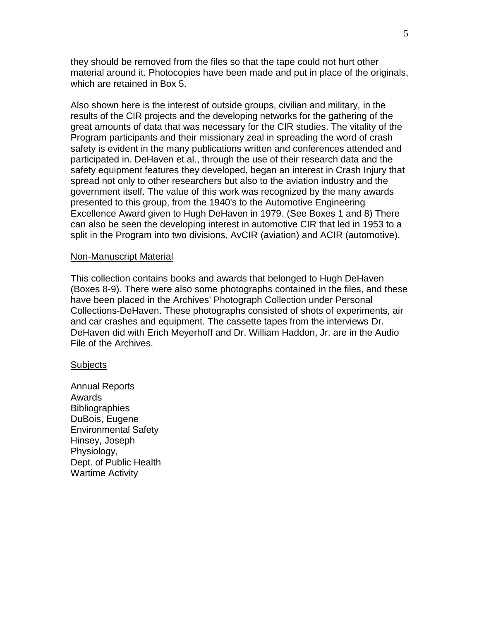they should be removed from the files so that the tape could not hurt other material around it. Photocopies have been made and put in place of the originals, which are retained in Box 5.

Also shown here is the interest of outside groups, civilian and military, in the results of the CIR projects and the developing networks for the gathering of the great amounts of data that was necessary for the CIR studies. The vitality of the Program participants and their missionary zeal in spreading the word of crash safety is evident in the many publications written and conferences attended and participated in. DeHaven et al., through the use of their research data and the safety equipment features they developed, began an interest in Crash Injury that spread not only to other researchers but also to the aviation industry and the government itself. The value of this work was recognized by the many awards presented to this group, from the 1940's to the Automotive Engineering Excellence Award given to Hugh DeHaven in 1979. (See Boxes 1 and 8) There can also be seen the developing interest in automotive CIR that led in 1953 to a split in the Program into two divisions, AvCIR (aviation) and ACIR (automotive).

#### Non-Manuscript Material

This collection contains books and awards that belonged to Hugh DeHaven (Boxes 8-9). There were also some photographs contained in the files, and these have been placed in the Archives' Photograph Collection under Personal Collections-DeHaven. These photographs consisted of shots of experiments, air and car crashes and equipment. The cassette tapes from the interviews Dr. DeHaven did with Erich Meyerhoff and Dr. William Haddon, Jr. are in the Audio File of the Archives.

#### **Subjects**

Annual Reports Awards **Bibliographies** DuBois, Eugene Environmental Safety Hinsey, Joseph Physiology, Dept. of Public Health Wartime Activity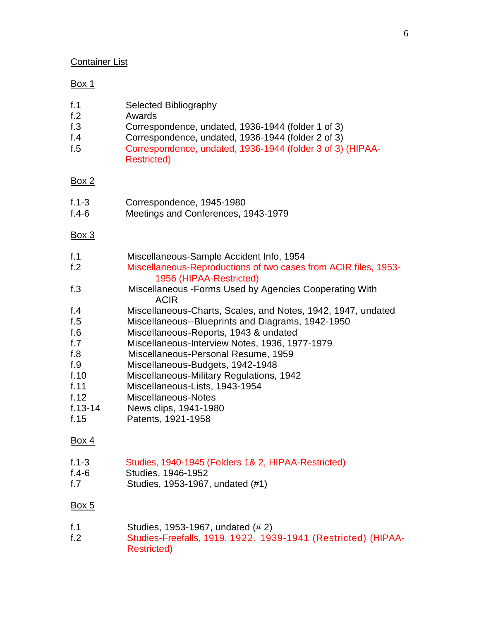# Container List

### Box 1

| <b>Selected Bibliography</b> |
|------------------------------|
|                              |

- f.2 Awards
- f.3 Correspondence, undated, 1936-1944 (folder 1 of 3)<br>f.4 Correspondence, undated, 1936-1944 (folder 2 of 3)
- f.4 Correspondence, undated, 1936-1944 (folder 2 of 3)<br>f.5 Correspondence, undated, 1936-1944 (folder 3 of 3)
- Correspondence, undated, 1936-1944 (folder 3 of 3) (HIPAA-Restricted)

# Box 2

- f.1-3 Correspondence, 1945-1980
- f.4-6 Meetings and Conferences, 1943-1979

### Box 3

| f.1<br>f <sub>.2</sub><br>f.3                                    | Miscellaneous-Sample Accident Info, 1954<br>Miscellaneous-Reproductions of two cases from ACIR files, 1953-<br>1956 (HIPAA-Restricted)<br>Miscellaneous - Forms Used by Agencies Cooperating With                                                                             |
|------------------------------------------------------------------|-------------------------------------------------------------------------------------------------------------------------------------------------------------------------------------------------------------------------------------------------------------------------------|
| f.4<br>f.5<br>f.6                                                | <b>ACIR</b><br>Miscellaneous-Charts, Scales, and Notes, 1942, 1947, undated<br>Miscellaneous--Blueprints and Diagrams, 1942-1950<br>Miscellaneous-Reports, 1943 & undated                                                                                                     |
| f.7<br>f.8<br>f.9<br>f.10<br>f.11<br>f.12<br>$f.13 - 14$<br>f.15 | Miscellaneous-Interview Notes, 1936, 1977-1979<br>Miscellaneous-Personal Resume, 1959<br>Miscellaneous-Budgets, 1942-1948<br>Miscellaneous-Military Regulations, 1942<br>Miscellaneous-Lists, 1943-1954<br>Miscellaneous-Notes<br>News clips, 1941-1980<br>Patents, 1921-1958 |
| Box 4                                                            |                                                                                                                                                                                                                                                                               |
| $f.1 - 3$<br>$f.4-6$<br>f.7                                      | Studies, 1940-1945 (Folders 1& 2, HIPAA-Restricted)<br>Studies, 1946-1952<br>Studies, 1953-1967, undated (#1)                                                                                                                                                                 |

### Box 5

| f.1 | Studies, 1953-1967, undated (# 2) |  |
|-----|-----------------------------------|--|
|-----|-----------------------------------|--|

f.2 Studies-Freefalls, 1919, 1922, 1939-1941 (Restricted) (HIPAA-Restricted)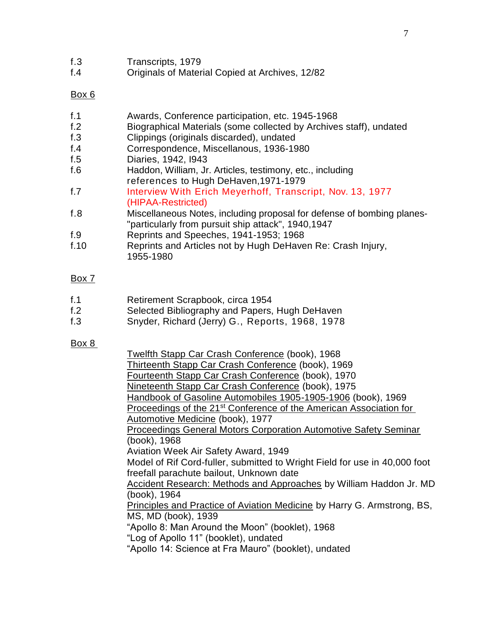| f.3 | Transcripts, 1979 |  |
|-----|-------------------|--|
|-----|-------------------|--|

f.4 Originals of Material Copied at Archives, 12/82

### Box 6

| f. 1   | Awards, Conference participation, etc. 1945-1968                       |
|--------|------------------------------------------------------------------------|
| f.2    | Biographical Materials (some collected by Archives staff), undated     |
| f. $3$ | Clippings (originals discarded), undated                               |
| f.4    | Correspondence, Miscellanous, 1936-1980                                |
| f.5    | Diaries, 1942, 1943                                                    |
| f.6    | Haddon, William, Jr. Articles, testimony, etc., including              |
|        | references to Hugh DeHaven, 1971-1979                                  |
| f.7    | Interview With Erich Meyerhoff, Transcript, Nov. 13, 1977              |
|        | (HIPAA-Restricted)                                                     |
| f.8    | Miscellaneous Notes, including proposal for defense of bombing planes- |
|        | "particularly from pursuit ship attack", 1940,1947                     |
| f.9    | Reprints and Speeches, 1941-1953; 1968                                 |
| f.10   | Reprints and Articles not by Hugh DeHaven Re: Crash Injury,            |
|        | 1955-1980                                                              |

# Box 7

- f.2 Selected Bibliography and Papers, Hugh DeHaven
- f.3 Snyder, Richard (Jerry) G., Reports, 1968, 1978

#### Box 8

| Twelfth Stapp Car Crash Conference (book), 1968                                |
|--------------------------------------------------------------------------------|
| Thirteenth Stapp Car Crash Conference (book), 1969                             |
| Fourteenth Stapp Car Crash Conference (book), 1970                             |
| Nineteenth Stapp Car Crash Conference (book), 1975                             |
| Handbook of Gasoline Automobiles 1905-1905-1906 (book), 1969                   |
| Proceedings of the 21 <sup>st</sup> Conference of the American Association for |
| Automotive Medicine (book), 1977                                               |
| Proceedings General Motors Corporation Automotive Safety Seminar               |
| (book), 1968                                                                   |
| <b>Aviation Week Air Safety Award, 1949</b>                                    |
| Model of Rif Cord-fuller, submitted to Wright Field for use in 40,000 foot     |
| freefall parachute bailout, Unknown date                                       |
| Accident Research: Methods and Approaches by William Haddon Jr. MD             |
| (book), 1964                                                                   |
| <b>Principles and Practice of Aviation Medicine by Harry G. Armstrong, BS,</b> |
| MS, MD (book), 1939                                                            |
| "Apollo 8: Man Around the Moon" (booklet), 1968                                |
| "Log of Apollo 11" (booklet), undated                                          |
| "Apollo 14: Science at Fra Mauro" (booklet), undated                           |